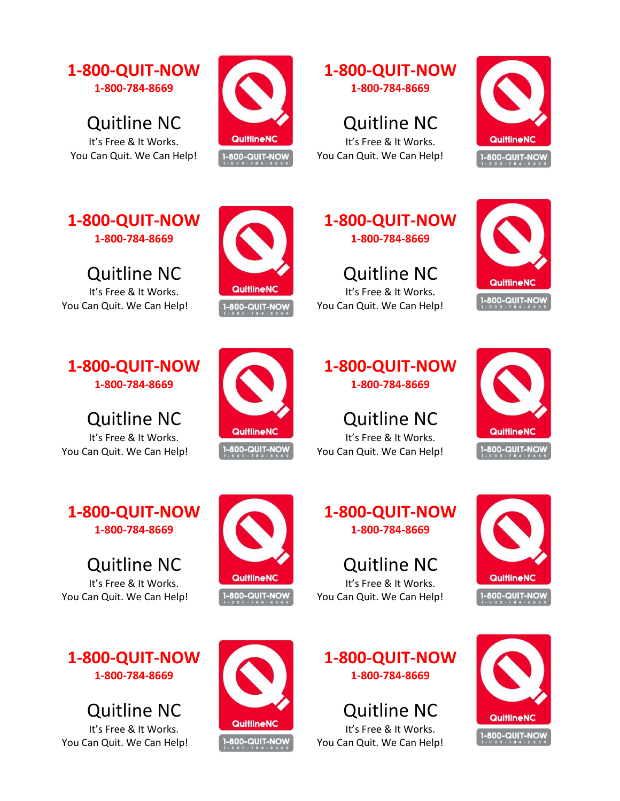

Quitline NC It's Free & It Works. You Can Quit. We Can Help!



## **1-800-QUIT-NOW 1-800-784-8669**

Quitline NC It's Free & It Works. You Can Quit. We Can Help!



**1-800-QUIT-NOW 1-800-784-8669**

Quitline NC It's Free & It Works. You Can Quit. We Can Help!



Quitline NC It's Free & It Works. You Can Quit. We Can Help!

**1-800-QUIT-NOW 1-800-784-8669**

Quitline NC It's Free & It Works. You Can Quit. We Can Help!

**1-800-QUIT-NOW 1-800-784-8669**

Quitline NC It's Free & It Works. You Can Quit. We Can Help!



**1-800-QUIT-NOW 1-800-784-8669**

Quitline NC It's Free & It Works. You Can Quit. We Can Help!







QuitlineNC

1-800-QUIT-NOW

QuitlineNC

**1-800-QUIT-NOW** 

Quitline NC

It's Free & It Works. You Can Quit. We Can Help!



Quitline NC It's Free & It Works. You Can Quit. We Can Help!





**1-800-QUIT-NOW 1-800-784-8669**

Quitline NC It's Free & It Works. You Can Quit. We Can Help!

**1-800-QUIT-NOW 1-800-784-8669**